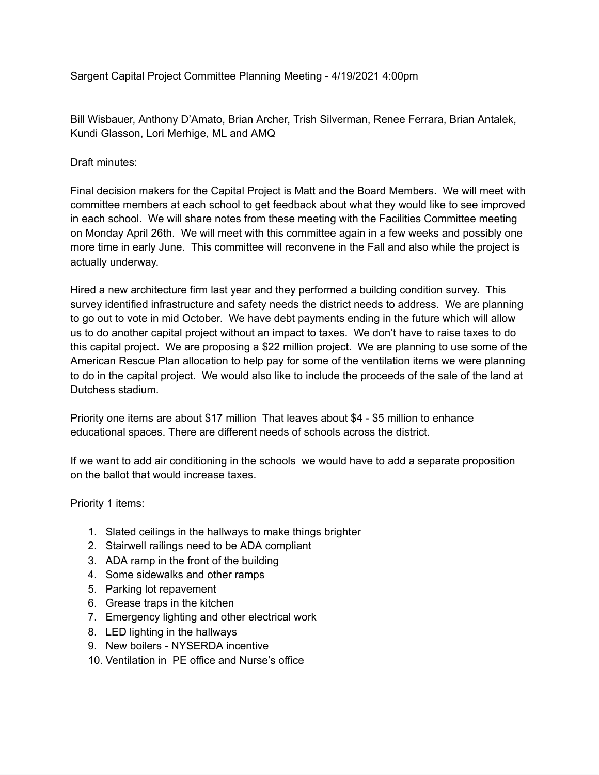Sargent Capital Project Committee Planning Meeting - 4/19/2021 4:00pm

Bill Wisbauer, Anthony D'Amato, Brian Archer, Trish Silverman, Renee Ferrara, Brian Antalek, Kundi Glasson, Lori Merhige, ML and AMQ

Draft minutes:

Final decision makers for the Capital Project is Matt and the Board Members. We will meet with committee members at each school to get feedback about what they would like to see improved in each school. We will share notes from these meeting with the Facilities Committee meeting on Monday April 26th. We will meet with this committee again in a few weeks and possibly one more time in early June. This committee will reconvene in the Fall and also while the project is actually underway.

Hired a new architecture firm last year and they performed a building condition survey. This survey identified infrastructure and safety needs the district needs to address. We are planning to go out to vote in mid October. We have debt payments ending in the future which will allow us to do another capital project without an impact to taxes. We don't have to raise taxes to do this capital project. We are proposing a \$22 million project. We are planning to use some of the American Rescue Plan allocation to help pay for some of the ventilation items we were planning to do in the capital project. We would also like to include the proceeds of the sale of the land at Dutchess stadium.

Priority one items are about \$17 million That leaves about \$4 - \$5 million to enhance educational spaces. There are different needs of schools across the district.

If we want to add air conditioning in the schools we would have to add a separate proposition on the ballot that would increase taxes.

Priority 1 items:

- 1. Slated ceilings in the hallways to make things brighter
- 2. Stairwell railings need to be ADA compliant
- 3. ADA ramp in the front of the building
- 4. Some sidewalks and other ramps
- 5. Parking lot repavement
- 6. Grease traps in the kitchen
- 7. Emergency lighting and other electrical work
- 8. LED lighting in the hallways
- 9. New boilers NYSERDA incentive
- 10. Ventilation in PE office and Nurse's office